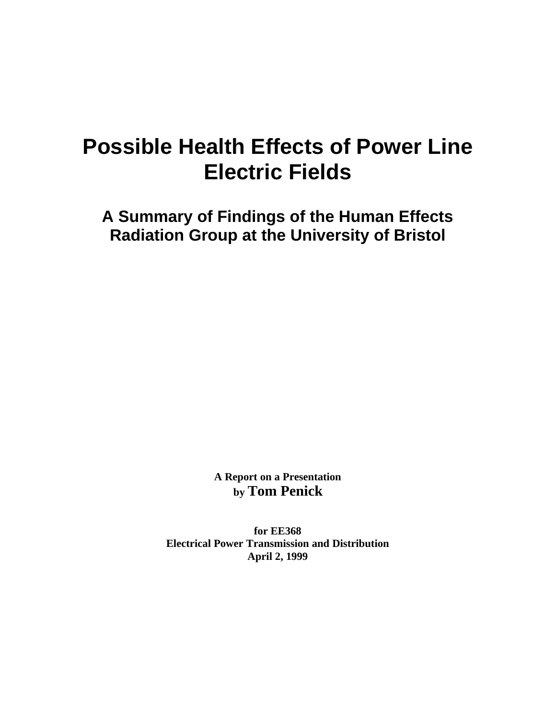# **Possible Health Effects of Power Line Electric Fields**

**A Summary of Findings of the Human Effects Radiation Group at the University of Bristol**

> **A Report on a Presentation by Tom Penick**

**for EE368 Electrical Power Transmission and Distribution April 2, 1999**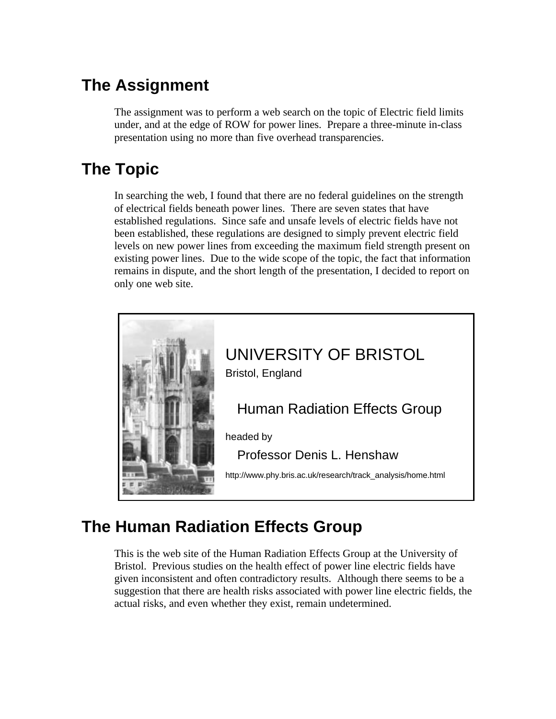## **The Assignment**

The assignment was to perform a web search on the topic of Electric field limits under, and at the edge of ROW for power lines. Prepare a three-minute in-class presentation using no more than five overhead transparencies.

### **The Topic**

In searching the web, I found that there are no federal guidelines on the strength of electrical fields beneath power lines. There are seven states that have established regulations. Since safe and unsafe levels of electric fields have not been established, these regulations are designed to simply prevent electric field levels on new power lines from exceeding the maximum field strength present on existing power lines. Due to the wide scope of the topic, the fact that information remains in dispute, and the short length of the presentation, I decided to report on only one web site.



# UNIVERSITY OF BRISTOL

Bristol, England

#### Human Radiation Effects Group

headed by

Professor Denis L. Henshaw

http://www.phy.bris.ac.uk/research/track\_analysis/home.html

### **The Human Radiation Effects Group**

This is the web site of the Human Radiation Effects Group at the University of Bristol. Previous studies on the health effect of power line electric fields have given inconsistent and often contradictory results. Although there seems to be a suggestion that there are health risks associated with power line electric fields, the actual risks, and even whether they exist, remain undetermined.